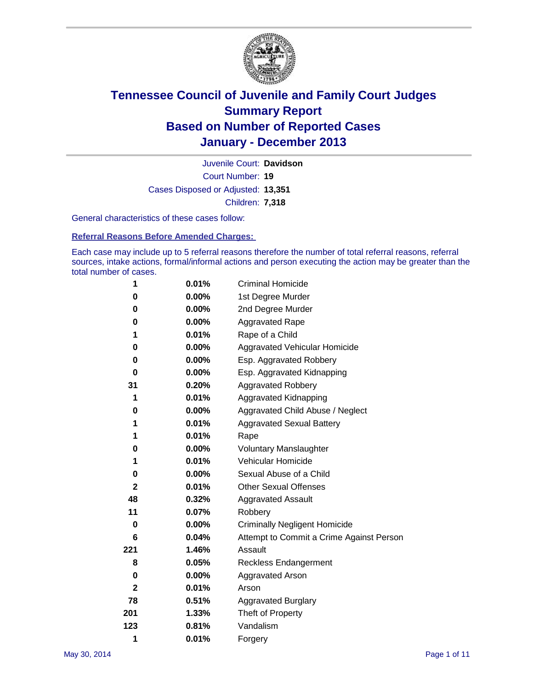

Court Number: **19** Juvenile Court: **Davidson** Cases Disposed or Adjusted: **13,351** Children: **7,318**

General characteristics of these cases follow:

**Referral Reasons Before Amended Charges:** 

Each case may include up to 5 referral reasons therefore the number of total referral reasons, referral sources, intake actions, formal/informal actions and person executing the action may be greater than the total number of cases.

| 1                | 0.01%    | <b>Criminal Homicide</b>                 |
|------------------|----------|------------------------------------------|
| 0                | 0.00%    | 1st Degree Murder                        |
| 0                | 0.00%    | 2nd Degree Murder                        |
| 0                | $0.00\%$ | <b>Aggravated Rape</b>                   |
| 1                | 0.01%    | Rape of a Child                          |
| 0                | 0.00%    | Aggravated Vehicular Homicide            |
| 0                | $0.00\%$ | Esp. Aggravated Robbery                  |
| 0                | $0.00\%$ | Esp. Aggravated Kidnapping               |
| 31               | 0.20%    | <b>Aggravated Robbery</b>                |
| 1                | 0.01%    | Aggravated Kidnapping                    |
| 0                | 0.00%    | Aggravated Child Abuse / Neglect         |
| 1                | 0.01%    | <b>Aggravated Sexual Battery</b>         |
| 1                | 0.01%    | Rape                                     |
| 0                | $0.00\%$ | <b>Voluntary Manslaughter</b>            |
| 1                | 0.01%    | Vehicular Homicide                       |
| 0                | 0.00%    | Sexual Abuse of a Child                  |
| $\boldsymbol{2}$ | 0.01%    | <b>Other Sexual Offenses</b>             |
| 48               | 0.32%    | <b>Aggravated Assault</b>                |
| 11               | 0.07%    | Robbery                                  |
| 0                | 0.00%    | <b>Criminally Negligent Homicide</b>     |
| 6                | 0.04%    | Attempt to Commit a Crime Against Person |
| 221              | 1.46%    | Assault                                  |
| 8                | 0.05%    | <b>Reckless Endangerment</b>             |
| 0                | $0.00\%$ | Aggravated Arson                         |
| $\mathbf{2}$     | 0.01%    | Arson                                    |
| 78               | 0.51%    | <b>Aggravated Burglary</b>               |
| 201              | 1.33%    | Theft of Property                        |
| 123              | 0.81%    | Vandalism                                |
| 1                | 0.01%    | Forgery                                  |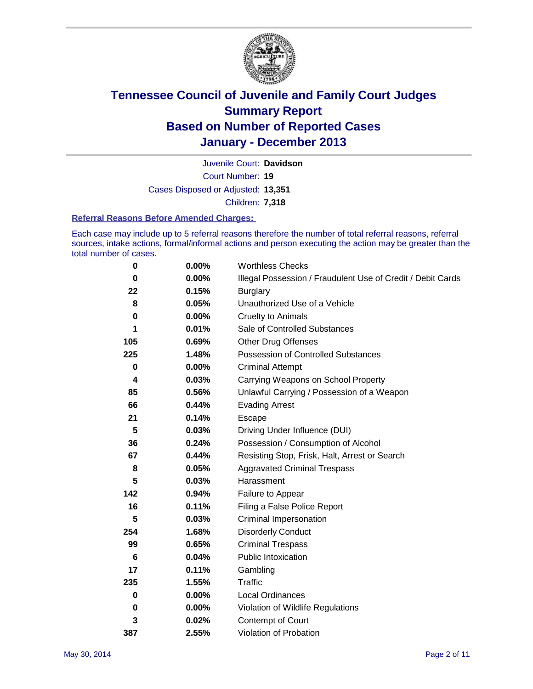

Court Number: **19** Juvenile Court: **Davidson** Cases Disposed or Adjusted: **13,351** Children: **7,318**

#### **Referral Reasons Before Amended Charges:**

Each case may include up to 5 referral reasons therefore the number of total referral reasons, referral sources, intake actions, formal/informal actions and person executing the action may be greater than the total number of cases.

| 0               | 0.00%    | <b>Worthless Checks</b>                                     |
|-----------------|----------|-------------------------------------------------------------|
| 0               | $0.00\%$ | Illegal Possession / Fraudulent Use of Credit / Debit Cards |
| 22              | 0.15%    | <b>Burglary</b>                                             |
| 8               | 0.05%    | Unauthorized Use of a Vehicle                               |
| 0               | 0.00%    | <b>Cruelty to Animals</b>                                   |
| 1               | 0.01%    | Sale of Controlled Substances                               |
| 105             | 0.69%    | <b>Other Drug Offenses</b>                                  |
| 225             | 1.48%    | Possession of Controlled Substances                         |
| $\bf{0}$        | 0.00%    | <b>Criminal Attempt</b>                                     |
| 4               | 0.03%    | Carrying Weapons on School Property                         |
| 85              | 0.56%    | Unlawful Carrying / Possession of a Weapon                  |
| 66              | 0.44%    | <b>Evading Arrest</b>                                       |
| 21              | 0.14%    | Escape                                                      |
| 5               | 0.03%    | Driving Under Influence (DUI)                               |
| 36              | 0.24%    | Possession / Consumption of Alcohol                         |
| 67              | 0.44%    | Resisting Stop, Frisk, Halt, Arrest or Search               |
| 8               | 0.05%    | <b>Aggravated Criminal Trespass</b>                         |
| 5               | 0.03%    | Harassment                                                  |
| 142             | 0.94%    | Failure to Appear                                           |
| 16              | 0.11%    | Filing a False Police Report                                |
| 5               | 0.03%    | Criminal Impersonation                                      |
| 254             | 1.68%    | <b>Disorderly Conduct</b>                                   |
| 99              | 0.65%    | <b>Criminal Trespass</b>                                    |
| $6\phantom{1}6$ | 0.04%    | <b>Public Intoxication</b>                                  |
| 17              | 0.11%    | Gambling                                                    |
| 235             | 1.55%    | <b>Traffic</b>                                              |
| 0               | 0.00%    | <b>Local Ordinances</b>                                     |
| 0               | $0.00\%$ | Violation of Wildlife Regulations                           |
| 3               | 0.02%    | Contempt of Court                                           |
| 387             | 2.55%    | Violation of Probation                                      |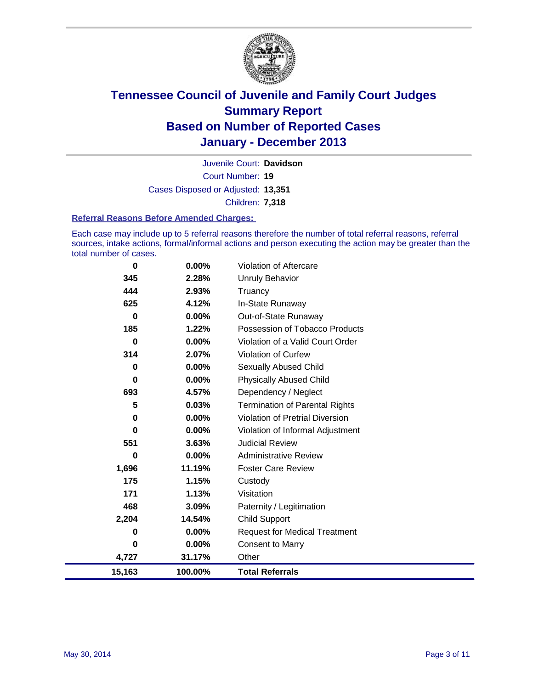

Court Number: **19** Juvenile Court: **Davidson** Cases Disposed or Adjusted: **13,351** Children: **7,318**

#### **Referral Reasons Before Amended Charges:**

Each case may include up to 5 referral reasons therefore the number of total referral reasons, referral sources, intake actions, formal/informal actions and person executing the action may be greater than the total number of cases.

| 0      | 0.00%    | Violation of Aftercare                 |
|--------|----------|----------------------------------------|
| 345    | 2.28%    | Unruly Behavior                        |
| 444    | 2.93%    | Truancy                                |
| 625    | 4.12%    | In-State Runaway                       |
| 0      | 0.00%    | Out-of-State Runaway                   |
| 185    | 1.22%    | Possession of Tobacco Products         |
| 0      | $0.00\%$ | Violation of a Valid Court Order       |
| 314    | 2.07%    | Violation of Curfew                    |
| 0      | 0.00%    | <b>Sexually Abused Child</b>           |
| 0      | $0.00\%$ | <b>Physically Abused Child</b>         |
| 693    | 4.57%    | Dependency / Neglect                   |
| 5      | 0.03%    | <b>Termination of Parental Rights</b>  |
| 0      | $0.00\%$ | <b>Violation of Pretrial Diversion</b> |
| 0      | $0.00\%$ | Violation of Informal Adjustment       |
| 551    | 3.63%    | <b>Judicial Review</b>                 |
| 0      | $0.00\%$ | <b>Administrative Review</b>           |
| 1,696  | 11.19%   | <b>Foster Care Review</b>              |
| 175    | 1.15%    | Custody                                |
| 171    | 1.13%    | Visitation                             |
| 468    | 3.09%    | Paternity / Legitimation               |
| 2,204  | 14.54%   | Child Support                          |
| 0      | 0.00%    | <b>Request for Medical Treatment</b>   |
| 0      | 0.00%    | <b>Consent to Marry</b>                |
| 4,727  | 31.17%   | Other                                  |
| 15,163 | 100.00%  | <b>Total Referrals</b>                 |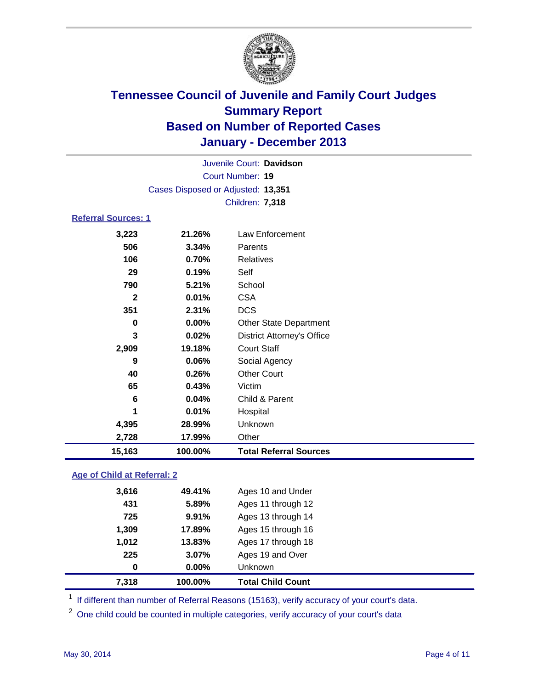

|                            |                                    | Juvenile Court: Davidson          |  |
|----------------------------|------------------------------------|-----------------------------------|--|
| <b>Court Number: 19</b>    |                                    |                                   |  |
|                            | Cases Disposed or Adjusted: 13,351 |                                   |  |
|                            |                                    | Children: 7,318                   |  |
| <b>Referral Sources: 1</b> |                                    |                                   |  |
| 3,223                      | 21.26%                             | Law Enforcement                   |  |
| 506                        | 3.34%                              | Parents                           |  |
| 106                        | 0.70%                              | <b>Relatives</b>                  |  |
| 29                         | 0.19%                              | Self                              |  |
| 790                        | 5.21%                              | School                            |  |
| $\mathbf{2}$               | 0.01%                              | <b>CSA</b>                        |  |
| 351                        | 2.31%                              | <b>DCS</b>                        |  |
| 0                          | 0.00%                              | <b>Other State Department</b>     |  |
| 3                          | 0.02%                              | <b>District Attorney's Office</b> |  |
| 2,909                      | 19.18%                             | <b>Court Staff</b>                |  |
| 9                          | 0.06%                              | Social Agency                     |  |
| 40                         | 0.26%                              | <b>Other Court</b>                |  |
| 65                         | 0.43%                              | Victim                            |  |
| 6                          | 0.04%                              | Child & Parent                    |  |
| 1                          | 0.01%                              | Hospital                          |  |
| 4,395                      | 28.99%                             | Unknown                           |  |
| 2,728                      | 17.99%                             | Other                             |  |
| 15,163                     | 100.00%                            | <b>Total Referral Sources</b>     |  |

### **Age of Child at Referral: 2**

| 7,318 | 100.00% | <b>Total Child Count</b> |
|-------|---------|--------------------------|
| 0     | 0.00%   | <b>Unknown</b>           |
| 225   | 3.07%   | Ages 19 and Over         |
| 1,012 | 13.83%  | Ages 17 through 18       |
| 1,309 | 17.89%  | Ages 15 through 16       |
| 725   | 9.91%   | Ages 13 through 14       |
| 431   | 5.89%   | Ages 11 through 12       |
| 3,616 | 49.41%  | Ages 10 and Under        |
|       |         |                          |

<sup>1</sup> If different than number of Referral Reasons (15163), verify accuracy of your court's data.

<sup>2</sup> One child could be counted in multiple categories, verify accuracy of your court's data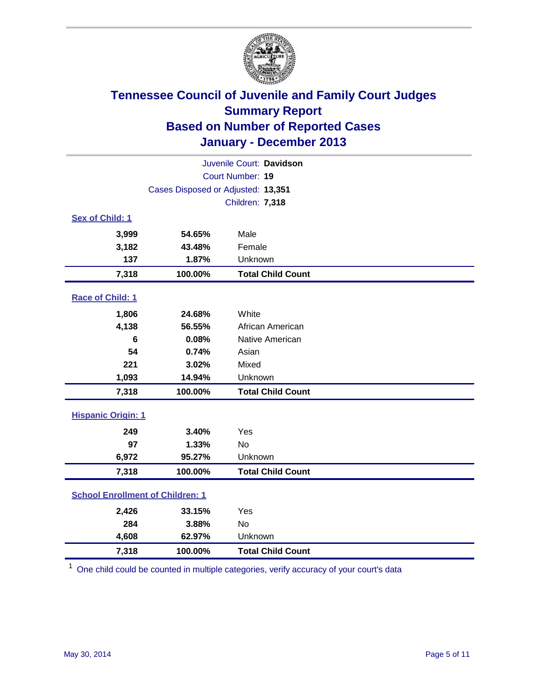

| Juvenile Court: Davidson                |                                    |                          |  |  |  |
|-----------------------------------------|------------------------------------|--------------------------|--|--|--|
| Court Number: 19                        |                                    |                          |  |  |  |
|                                         | Cases Disposed or Adjusted: 13,351 |                          |  |  |  |
|                                         |                                    | Children: 7,318          |  |  |  |
| Sex of Child: 1                         |                                    |                          |  |  |  |
| 3,999                                   | 54.65%                             | Male                     |  |  |  |
| 3,182                                   | 43.48%                             | Female                   |  |  |  |
| 137                                     | 1.87%                              | Unknown                  |  |  |  |
| 7,318                                   | 100.00%                            | <b>Total Child Count</b> |  |  |  |
| Race of Child: 1                        |                                    |                          |  |  |  |
| 1,806                                   | 24.68%                             | White                    |  |  |  |
| 4,138                                   | 56.55%                             | African American         |  |  |  |
| 6                                       | 0.08%                              | Native American          |  |  |  |
| 54                                      | 0.74%                              | Asian                    |  |  |  |
| 221                                     | 3.02%                              | Mixed                    |  |  |  |
| 1,093                                   | 14.94%                             | Unknown                  |  |  |  |
| 7,318                                   | 100.00%                            | <b>Total Child Count</b> |  |  |  |
| <b>Hispanic Origin: 1</b>               |                                    |                          |  |  |  |
| 249                                     | 3.40%                              | Yes                      |  |  |  |
| 97                                      | 1.33%                              | <b>No</b>                |  |  |  |
| 6,972                                   | 95.27%                             | Unknown                  |  |  |  |
| 7,318                                   | 100.00%                            | <b>Total Child Count</b> |  |  |  |
| <b>School Enrollment of Children: 1</b> |                                    |                          |  |  |  |
| 2,426                                   | 33.15%                             | Yes                      |  |  |  |
| 284                                     | 3.88%                              | <b>No</b>                |  |  |  |
| 4,608                                   | 62.97%                             | Unknown                  |  |  |  |
| 7,318                                   | 100.00%                            | <b>Total Child Count</b> |  |  |  |

<sup>1</sup> One child could be counted in multiple categories, verify accuracy of your court's data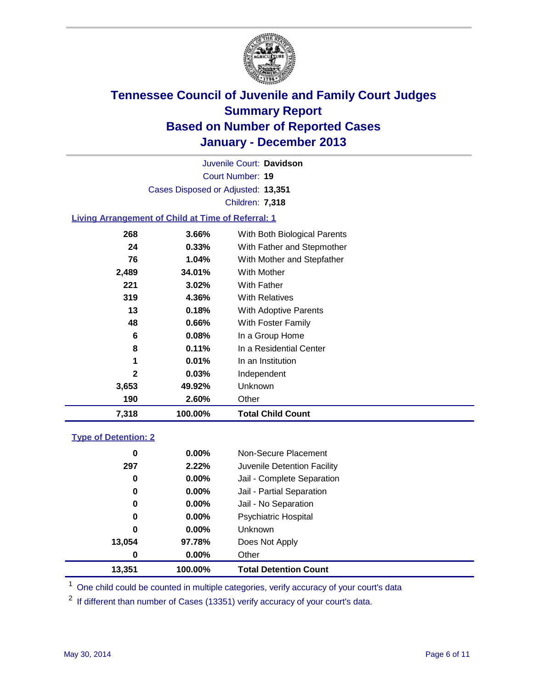

Court Number: **19** Juvenile Court: **Davidson** Cases Disposed or Adjusted: **13,351** Children: **7,318**

### **Living Arrangement of Child at Time of Referral: 1**

| 7,318        | 100.00%  | <b>Total Child Count</b>     |
|--------------|----------|------------------------------|
| 190          | 2.60%    | Other                        |
| 3,653        | 49.92%   | Unknown                      |
| $\mathbf{2}$ | 0.03%    | Independent                  |
| 1            | 0.01%    | In an Institution            |
| 8            | 0.11%    | In a Residential Center      |
| 6            | 0.08%    | In a Group Home              |
| 48           | $0.66\%$ | With Foster Family           |
| 13           | 0.18%    | With Adoptive Parents        |
| 319          | 4.36%    | <b>With Relatives</b>        |
| 221          | 3.02%    | With Father                  |
| 2,489        | 34.01%   | <b>With Mother</b>           |
| 76           | $1.04\%$ | With Mother and Stepfather   |
| 24           | $0.33\%$ | With Father and Stepmother   |
| 268          | 3.66%    | With Both Biological Parents |
|              |          |                              |

#### **Type of Detention: 2**

| 13,351 | 100.00%  | <b>Total Detention Count</b> |  |
|--------|----------|------------------------------|--|
| 0      | 0.00%    | Other                        |  |
| 13,054 | 97.78%   | Does Not Apply               |  |
| 0      | 0.00%    | <b>Unknown</b>               |  |
| 0      | $0.00\%$ | <b>Psychiatric Hospital</b>  |  |
| 0      | 0.00%    | Jail - No Separation         |  |
| 0      | $0.00\%$ | Jail - Partial Separation    |  |
| 0      | 0.00%    | Jail - Complete Separation   |  |
| 297    | 2.22%    | Juvenile Detention Facility  |  |
| 0      | 0.00%    | Non-Secure Placement         |  |
|        |          |                              |  |

<sup>1</sup> One child could be counted in multiple categories, verify accuracy of your court's data

 $2$  If different than number of Cases (13351) verify accuracy of your court's data.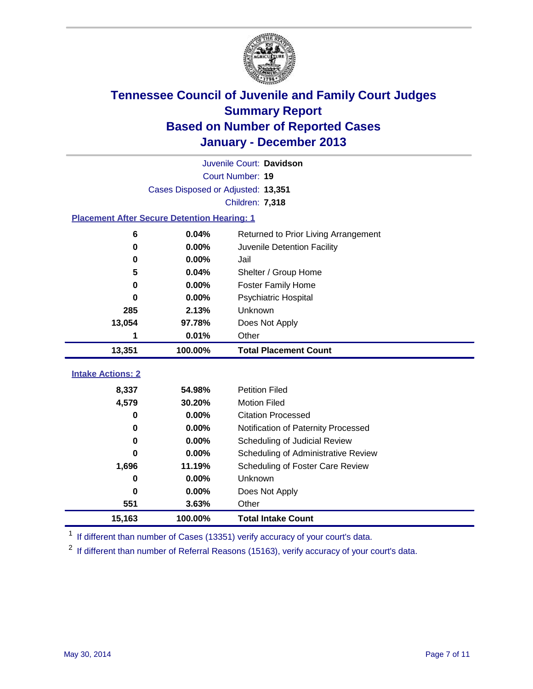

|                                                    |                                    | Juvenile Court: Davidson             |
|----------------------------------------------------|------------------------------------|--------------------------------------|
|                                                    |                                    | Court Number: 19                     |
|                                                    | Cases Disposed or Adjusted: 13,351 |                                      |
|                                                    |                                    | Children: 7,318                      |
| <b>Placement After Secure Detention Hearing: 1</b> |                                    |                                      |
| 6                                                  | 0.04%                              | Returned to Prior Living Arrangement |
| $\bf{0}$                                           | 0.00%                              | Juvenile Detention Facility          |
| 0                                                  | 0.00%                              | Jail                                 |
| 5                                                  | 0.04%                              | Shelter / Group Home                 |
| 0                                                  | 0.00%                              | <b>Foster Family Home</b>            |
| $\bf{0}$                                           | 0.00%                              | Psychiatric Hospital                 |
| 285                                                | 2.13%                              | Unknown                              |
| 13,054                                             | 97.78%                             | Does Not Apply                       |
| 1                                                  | 0.01%                              | Other                                |
| 13,351                                             | 100.00%                            | <b>Total Placement Count</b>         |
|                                                    |                                    |                                      |
| <b>Intake Actions: 2</b>                           |                                    |                                      |
| 8,337                                              | 54.98%                             | <b>Petition Filed</b>                |
| 4,579                                              | 30.20%                             | <b>Motion Filed</b>                  |
| $\bf{0}$                                           | 0.00%                              | <b>Citation Processed</b>            |
| 0                                                  | 0.00%                              | Notification of Paternity Processed  |
| 0                                                  | 0.00%                              | Scheduling of Judicial Review        |
| 0                                                  | 0.00%                              | Scheduling of Administrative Review  |
| 1,696                                              | 11.19%                             | Scheduling of Foster Care Review     |
| 0                                                  | 0.00%                              | Unknown                              |
| $\bf{0}$                                           | 0.00%                              | Does Not Apply                       |
| 551                                                | 3.63%                              | Other                                |
| 15,163                                             |                                    |                                      |

<sup>1</sup> If different than number of Cases (13351) verify accuracy of your court's data.

 $2$  If different than number of Referral Reasons (15163), verify accuracy of your court's data.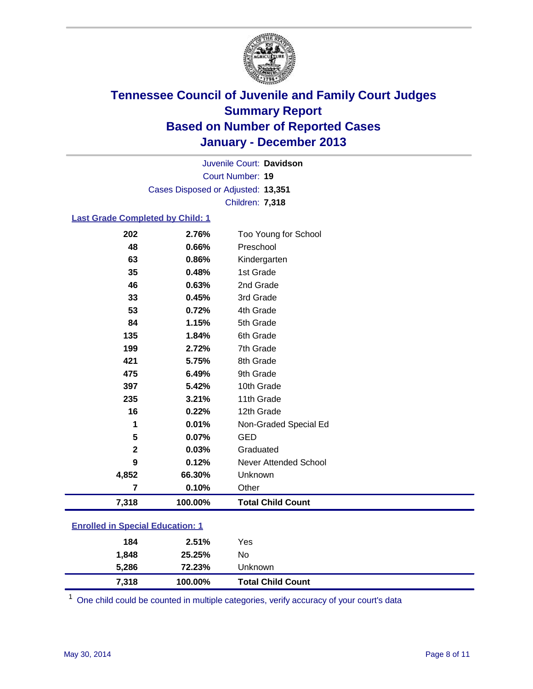

Court Number: **19** Juvenile Court: **Davidson** Cases Disposed or Adjusted: **13,351** Children: **7,318**

### **Last Grade Completed by Child: 1**

| 7,318        | 100.00% | <b>Total Child Count</b> |
|--------------|---------|--------------------------|
| 7            | 0.10%   | Other                    |
| 4,852        | 66.30%  | Unknown                  |
| 9            | 0.12%   | Never Attended School    |
| $\mathbf{2}$ | 0.03%   | Graduated                |
| 5            | 0.07%   | GED                      |
| 1            | 0.01%   | Non-Graded Special Ed    |
| 16           | 0.22%   | 12th Grade               |
| 235          | 3.21%   | 11th Grade               |
| 397          | 5.42%   | 10th Grade               |
| 475          | 6.49%   | 9th Grade                |
| 421          | 5.75%   | 8th Grade                |
| 199          | 2.72%   | 7th Grade                |
| 135          | 1.84%   | 6th Grade                |
| 84           | 1.15%   | 5th Grade                |
| 53           | 0.72%   | 4th Grade                |
| 33           | 0.45%   | 3rd Grade                |
| 46           | 0.63%   | 2nd Grade                |
| 35           | 0.48%   | 1st Grade                |
| 63           | 0.86%   | Kindergarten             |
| 48           | 0.66%   | Preschool                |
| 202          | 2.76%   | Too Young for School     |

| 7.318 | 100.00% | <b>Total Child Count</b> |  |
|-------|---------|--------------------------|--|
| 5,286 | 72.23%  | Unknown                  |  |
| 1.848 | 25.25%  | No                       |  |
| 184   | 2.51%   | Yes                      |  |

 $1$  One child could be counted in multiple categories, verify accuracy of your court's data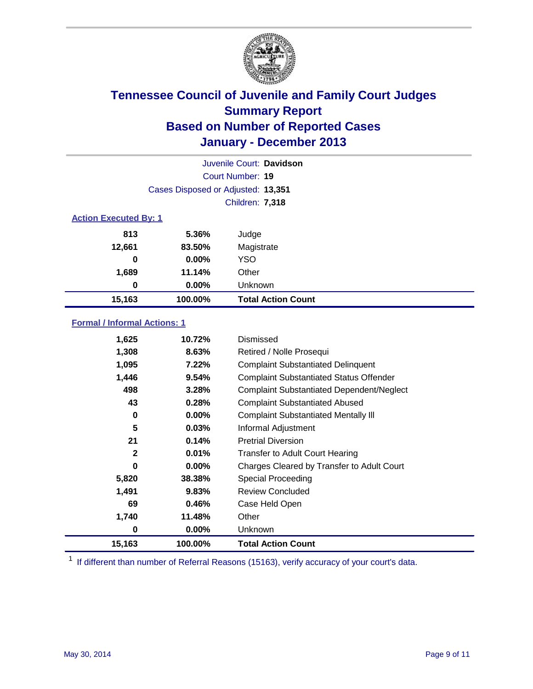

|                              |                                    | Juvenile Court: Davidson  |
|------------------------------|------------------------------------|---------------------------|
|                              |                                    | Court Number: 19          |
|                              | Cases Disposed or Adjusted: 13,351 |                           |
|                              |                                    | <b>Children: 7,318</b>    |
| <b>Action Executed By: 1</b> |                                    |                           |
| 813                          | 5.36%                              | Judge                     |
| 12,661                       | 83.50%                             | Magistrate                |
| 0                            | $0.00\%$                           | <b>YSO</b>                |
| 1,689                        | 11.14%                             | Other                     |
| 0                            | $0.00\%$                           | Unknown                   |
| 15,163                       | 100.00%                            | <b>Total Action Count</b> |

### **Formal / Informal Actions: 1**

| 1,625        | 10.72%   | Dismissed                                        |
|--------------|----------|--------------------------------------------------|
| 1,308        | 8.63%    | Retired / Nolle Prosequi                         |
| 1,095        | 7.22%    | <b>Complaint Substantiated Delinquent</b>        |
| 1,446        | 9.54%    | <b>Complaint Substantiated Status Offender</b>   |
| 498          | 3.28%    | <b>Complaint Substantiated Dependent/Neglect</b> |
| 43           | 0.28%    | <b>Complaint Substantiated Abused</b>            |
| 0            | $0.00\%$ | <b>Complaint Substantiated Mentally III</b>      |
| 5            | 0.03%    | Informal Adjustment                              |
| 21           | 0.14%    | <b>Pretrial Diversion</b>                        |
| $\mathbf{2}$ | 0.01%    | <b>Transfer to Adult Court Hearing</b>           |
| 0            | $0.00\%$ | Charges Cleared by Transfer to Adult Court       |
| 5,820        | 38.38%   | Special Proceeding                               |
| 1,491        | 9.83%    | <b>Review Concluded</b>                          |
| 69           | 0.46%    | Case Held Open                                   |
| 1,740        | 11.48%   | Other                                            |
| 0            | $0.00\%$ | Unknown                                          |
| 15,163       | 100.00%  | <b>Total Action Count</b>                        |

<sup>1</sup> If different than number of Referral Reasons (15163), verify accuracy of your court's data.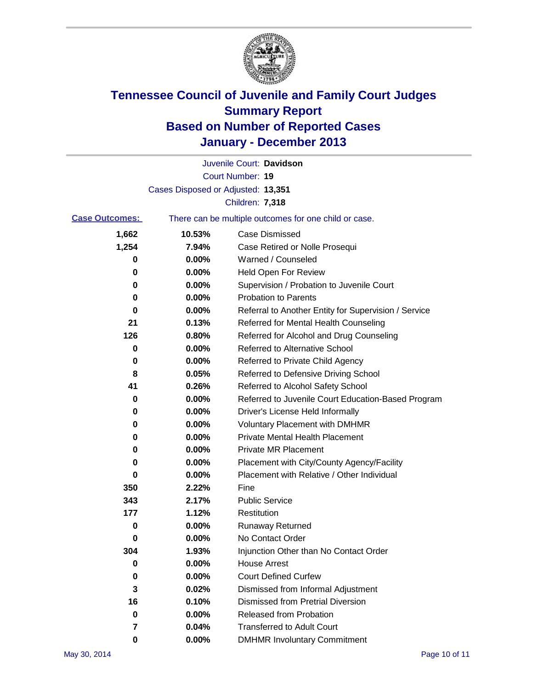

|                       |                                    | Juvenile Court: Davidson                              |
|-----------------------|------------------------------------|-------------------------------------------------------|
|                       |                                    | Court Number: 19                                      |
|                       | Cases Disposed or Adjusted: 13,351 |                                                       |
|                       |                                    | Children: 7,318                                       |
| <b>Case Outcomes:</b> |                                    | There can be multiple outcomes for one child or case. |
| 1,662                 | 10.53%                             | <b>Case Dismissed</b>                                 |
| 1,254                 | 7.94%                              | Case Retired or Nolle Prosequi                        |
| 0                     | 0.00%                              | Warned / Counseled                                    |
| 0                     | 0.00%                              | <b>Held Open For Review</b>                           |
| 0                     | 0.00%                              | Supervision / Probation to Juvenile Court             |
| 0                     | 0.00%                              | <b>Probation to Parents</b>                           |
| 0                     | 0.00%                              | Referral to Another Entity for Supervision / Service  |
| 21                    | 0.13%                              | Referred for Mental Health Counseling                 |
| 126                   | 0.80%                              | Referred for Alcohol and Drug Counseling              |
| 0                     | 0.00%                              | <b>Referred to Alternative School</b>                 |
| 0                     | 0.00%                              | Referred to Private Child Agency                      |
| 8                     | 0.05%                              | Referred to Defensive Driving School                  |
| 41                    | 0.26%                              | Referred to Alcohol Safety School                     |
| 0                     | 0.00%                              | Referred to Juvenile Court Education-Based Program    |
| 0                     | 0.00%                              | Driver's License Held Informally                      |
| 0                     | 0.00%                              | <b>Voluntary Placement with DMHMR</b>                 |
| 0                     | 0.00%                              | <b>Private Mental Health Placement</b>                |
| 0                     | 0.00%                              | <b>Private MR Placement</b>                           |
| 0                     | 0.00%                              | Placement with City/County Agency/Facility            |
| 0                     | 0.00%                              | Placement with Relative / Other Individual            |
| 350                   | 2.22%                              | Fine                                                  |
| 343                   | 2.17%                              | <b>Public Service</b>                                 |
| 177                   | 1.12%                              | Restitution                                           |
| 0                     | 0.00%                              | <b>Runaway Returned</b>                               |
| 0                     | 0.00%                              | No Contact Order                                      |
| 304                   | 1.93%                              | Injunction Other than No Contact Order                |
| 0                     | 0.00%                              | <b>House Arrest</b>                                   |
| 0                     | 0.00%                              | <b>Court Defined Curfew</b>                           |
| 3                     | 0.02%                              | Dismissed from Informal Adjustment                    |
| 16                    | 0.10%                              | <b>Dismissed from Pretrial Diversion</b>              |
| 0                     | 0.00%                              | Released from Probation                               |
| 7                     | 0.04%                              | <b>Transferred to Adult Court</b>                     |
| 0                     | 0.00%                              | <b>DMHMR Involuntary Commitment</b>                   |